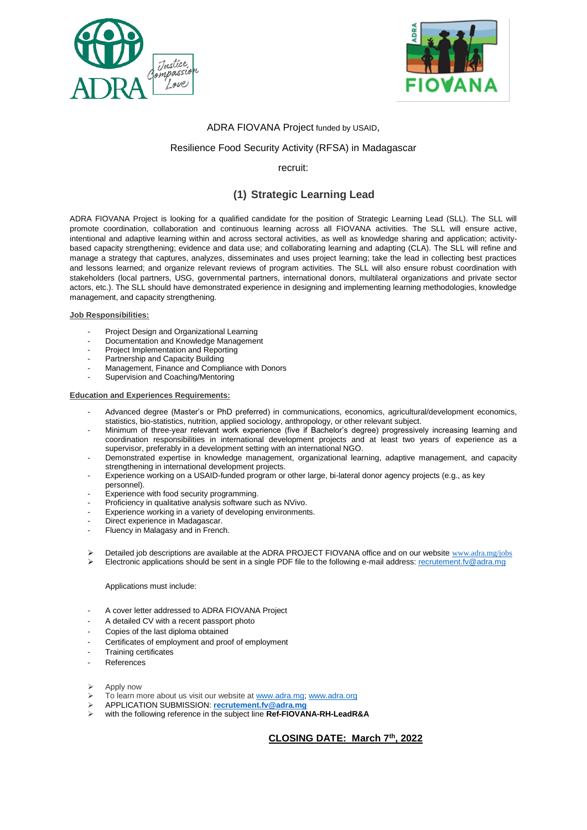



#### ADRA FIOVANA Project funded by USAID,

#### Resilience Food Security Activity (RFSA) in Madagascar

#### recruit:

# **(1) Strategic Learning Lead**

ADRA FIOVANA Project is looking for a qualified candidate for the position of Strategic Learning Lead (SLL). The SLL will promote coordination, collaboration and continuous learning across all FIOVANA activities. The SLL will ensure active, intentional and adaptive learning within and across sectoral activities, as well as knowledge sharing and application; activitybased capacity strengthening; evidence and data use; and collaborating learning and adapting (CLA). The SLL will refine and manage a strategy that captures, analyzes, disseminates and uses project learning; take the lead in collecting best practices and lessons learned; and organize relevant reviews of program activities. The SLL will also ensure robust coordination with stakeholders (local partners, USG, governmental partners, international donors, multilateral organizations and private sector actors, etc.). The SLL should have demonstrated experience in designing and implementing learning methodologies, knowledge management, and capacity strengthening.

#### **Job Responsibilities:**

- Project Design and Organizational Learning
- Documentation and Knowledge Management
- Project Implementation and Reporting
- Partnership and Capacity Building
- Management, Finance and Compliance with Donors
- Supervision and Coaching/Mentoring

#### **Education and Experiences Requirements:**

- Advanced degree (Master's or PhD preferred) in communications, economics, agricultural/development economics, statistics, bio-statistics, nutrition, applied sociology, anthropology, or other relevant subject.
- Minimum of three-year relevant work experience (five if Bachelor's degree) progressively increasing learning and coordination responsibilities in international development projects and at least two years of experience as a supervisor, preferably in a development setting with an international NGO.
- Demonstrated expertise in knowledge management, organizational learning, adaptive management, and capacity strengthening in international development projects.
- Experience working on a USAID-funded program or other large, bi-lateral donor agency projects (e.g., as key personnel).
- Experience with food security programming.
- Proficiency in qualitative analysis software such as NVivo.
- Experience working in a variety of developing environments.
- Direct experience in Madagascar.
- Fluency in Malagasy and in French.
- Detailed job descriptions are available at the ADRA PROJECT FIOVANA office and on our website www.adra.mg/jobs
- Electronic applications should be sent in a single PDF file to the following e-mail address[: recrutement.fv@adra.mg](mailto:recrutement.fv@adra.mg)

#### Applications must include:

- A cover letter addressed to ADRA FIOVANA Project
- A detailed CV with a recent passport photo
- Copies of the last diploma obtained
- Certificates of employment and proof of employment
- **Training certificates**
- References
- Apply now
- To learn more about us visit our website at [www.adra.mg;](http://www.adra.mg/) [www.adra.org](http://www.adra.org/)
- APPLICATION SUBMISSION: **[recrutement.fv@adra.mg](mailto:recrutement.fv@adra.mg)**
- with the following reference in the subject line **Ref-FIOVANA-RH-LeadR&A**

**CLOSING DATE: March 7th , 2022**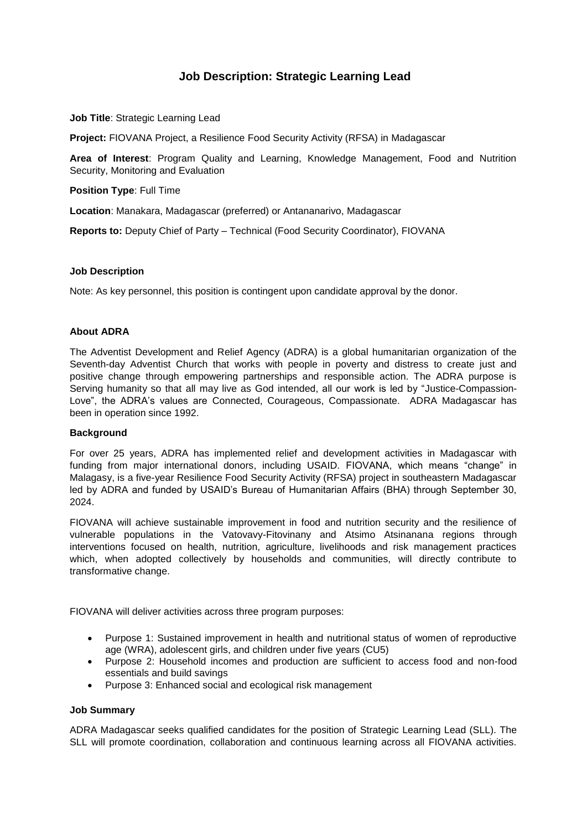# **Job Description: Strategic Learning Lead**

**Job Title: Strategic Learning Lead** 

**Project:** FIOVANA Project, a Resilience Food Security Activity (RFSA) in Madagascar

**Area of Interest**: Program Quality and Learning, Knowledge Management, Food and Nutrition Security, Monitoring and Evaluation

**Position Type**: Full Time

**Location**: Manakara, Madagascar (preferred) or Antananarivo, Madagascar

**Reports to:** Deputy Chief of Party – Technical (Food Security Coordinator), FIOVANA

#### **Job Description**

Note: As key personnel, this position is contingent upon candidate approval by the donor.

### **About ADRA**

The Adventist Development and Relief Agency (ADRA) is a global humanitarian organization of the Seventh-day Adventist Church that works with people in poverty and distress to create just and positive change through empowering partnerships and responsible action. The ADRA purpose is Serving humanity so that all may live as God intended, all our work is led by "Justice-Compassion-Love", the ADRA's values are Connected, Courageous, Compassionate. ADRA Madagascar has been in operation since 1992.

#### **Background**

For over 25 years, ADRA has implemented relief and development activities in Madagascar with funding from major international donors, including USAID. FIOVANA, which means "change" in Malagasy, is a five-year Resilience Food Security Activity (RFSA) project in southeastern Madagascar led by ADRA and funded by USAID's Bureau of Humanitarian Affairs (BHA) through September 30, 2024.

FIOVANA will achieve sustainable improvement in food and nutrition security and the resilience of vulnerable populations in the Vatovavy-Fitovinany and Atsimo Atsinanana regions through interventions focused on health, nutrition, agriculture, livelihoods and risk management practices which, when adopted collectively by households and communities, will directly contribute to transformative change.

FIOVANA will deliver activities across three program purposes:

- Purpose 1: Sustained improvement in health and nutritional status of women of reproductive age (WRA), adolescent girls, and children under five years (CU5)
- Purpose 2: Household incomes and production are sufficient to access food and non-food essentials and build savings
- Purpose 3: Enhanced social and ecological risk management

#### **Job Summary**

ADRA Madagascar seeks qualified candidates for the position of Strategic Learning Lead (SLL). The SLL will promote coordination, collaboration and continuous learning across all FIOVANA activities.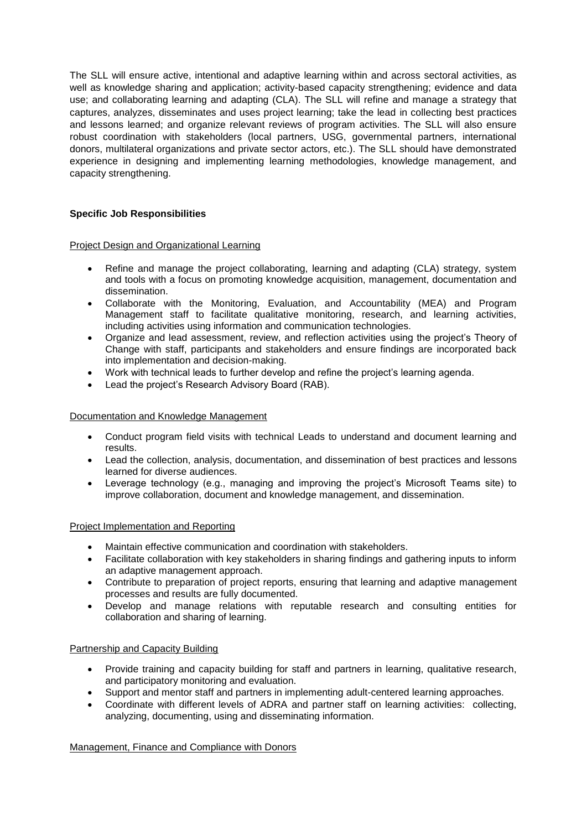The SLL will ensure active, intentional and adaptive learning within and across sectoral activities, as well as knowledge sharing and application; activity-based capacity strengthening; evidence and data use; and collaborating learning and adapting (CLA). The SLL will refine and manage a strategy that captures, analyzes, disseminates and uses project learning; take the lead in collecting best practices and lessons learned; and organize relevant reviews of program activities. The SLL will also ensure robust coordination with stakeholders (local partners, USG, governmental partners, international donors, multilateral organizations and private sector actors, etc.). The SLL should have demonstrated experience in designing and implementing learning methodologies, knowledge management, and capacity strengthening.

# **Specific Job Responsibilities**

# Project Design and Organizational Learning

- Refine and manage the project collaborating, learning and adapting (CLA) strategy, system and tools with a focus on promoting knowledge acquisition, management, documentation and dissemination.
- Collaborate with the Monitoring, Evaluation, and Accountability (MEA) and Program Management staff to facilitate qualitative monitoring, research, and learning activities, including activities using information and communication technologies.
- Organize and lead assessment, review, and reflection activities using the project's Theory of Change with staff, participants and stakeholders and ensure findings are incorporated back into implementation and decision-making.
- Work with technical leads to further develop and refine the project's learning agenda.
- Lead the project's Research Advisory Board (RAB).

# Documentation and Knowledge Management

- Conduct program field visits with technical Leads to understand and document learning and results.
- Lead the collection, analysis, documentation, and dissemination of best practices and lessons learned for diverse audiences.
- Leverage technology (e.g., managing and improving the project's Microsoft Teams site) to improve collaboration, document and knowledge management, and dissemination.

# Project Implementation and Reporting

- Maintain effective communication and coordination with stakeholders.
- Facilitate collaboration with key stakeholders in sharing findings and gathering inputs to inform an adaptive management approach.
- Contribute to preparation of project reports, ensuring that learning and adaptive management processes and results are fully documented.
- Develop and manage relations with reputable research and consulting entities for collaboration and sharing of learning.

# Partnership and Capacity Building

- Provide training and capacity building for staff and partners in learning, qualitative research, and participatory monitoring and evaluation.
- Support and mentor staff and partners in implementing adult-centered learning approaches.
- Coordinate with different levels of ADRA and partner staff on learning activities: collecting, analyzing, documenting, using and disseminating information.

Management, Finance and Compliance with Donors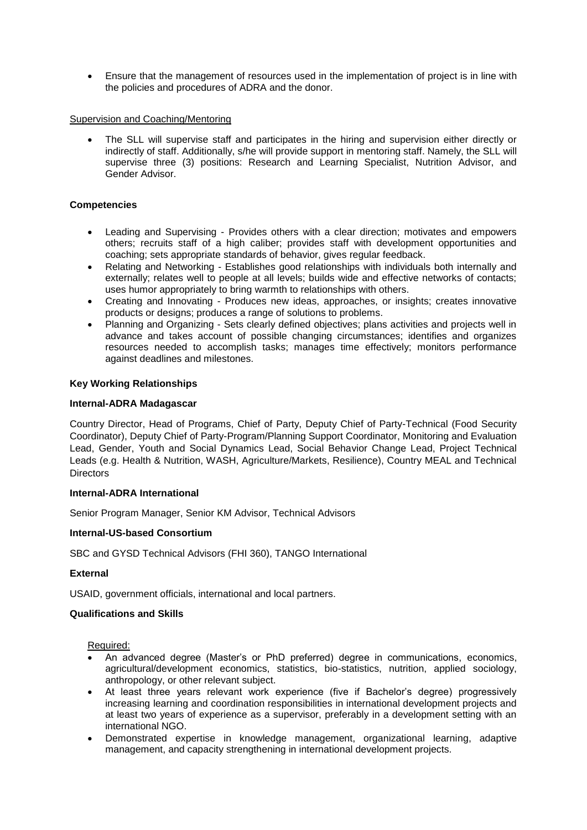Ensure that the management of resources used in the implementation of project is in line with the policies and procedures of ADRA and the donor.

# Supervision and Coaching/Mentoring

 The SLL will supervise staff and participates in the hiring and supervision either directly or indirectly of staff. Additionally, s/he will provide support in mentoring staff. Namely, the SLL will supervise three (3) positions: Research and Learning Specialist, Nutrition Advisor, and Gender Advisor.

# **Competencies**

- Leading and Supervising Provides others with a clear direction; motivates and empowers others; recruits staff of a high caliber; provides staff with development opportunities and coaching; sets appropriate standards of behavior, gives regular feedback.
- Relating and Networking Establishes good relationships with individuals both internally and externally; relates well to people at all levels; builds wide and effective networks of contacts; uses humor appropriately to bring warmth to relationships with others.
- Creating and Innovating Produces new ideas, approaches, or insights; creates innovative products or designs; produces a range of solutions to problems.
- Planning and Organizing Sets clearly defined objectives; plans activities and projects well in advance and takes account of possible changing circumstances; identifies and organizes resources needed to accomplish tasks; manages time effectively; monitors performance against deadlines and milestones.

### **Key Working Relationships**

### **Internal-ADRA Madagascar**

Country Director, Head of Programs, Chief of Party, Deputy Chief of Party-Technical (Food Security Coordinator), Deputy Chief of Party-Program/Planning Support Coordinator, Monitoring and Evaluation Lead, Gender, Youth and Social Dynamics Lead, Social Behavior Change Lead, Project Technical Leads (e.g. Health & Nutrition, WASH, Agriculture/Markets, Resilience), Country MEAL and Technical **Directors** 

### **Internal-ADRA International**

Senior Program Manager, Senior KM Advisor, Technical Advisors

#### **Internal-US-based Consortium**

SBC and GYSD Technical Advisors (FHI 360), TANGO International

#### **External**

USAID, government officials, international and local partners.

#### **Qualifications and Skills**

Required:

- An advanced degree (Master's or PhD preferred) degree in communications, economics, agricultural/development economics, statistics, bio-statistics, nutrition, applied sociology, anthropology, or other relevant subject.
- At least three years relevant work experience (five if Bachelor's degree) progressively increasing learning and coordination responsibilities in international development projects and at least two years of experience as a supervisor, preferably in a development setting with an international NGO.
- Demonstrated expertise in knowledge management, organizational learning, adaptive management, and capacity strengthening in international development projects.